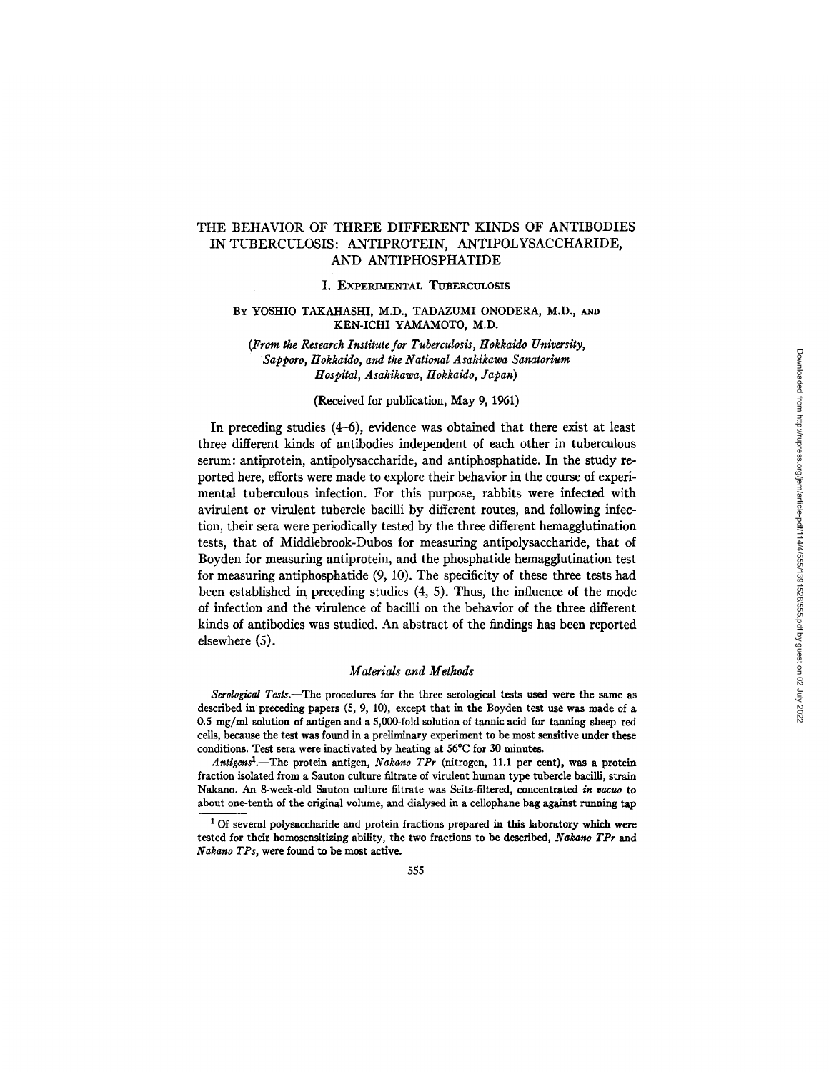# THE BEHAVIOR OF THREE DIFFERENT KINDS OF ANTIBODIES IN TUBERCULOSIS: ANTIPROTEIN, ANTIPOLYSACCHARIDE, AND ANTIPHOSPHATIDE

### I. EXPERIMENTAL TUBERCULOSIS

# BY ¥OSHIO TAKAHASHI, M.D., TADAZUMI ONODERA, M.D., KEN-ICHI YAMAMOTO, M.D.

# *(From the Research Institute for Tuberculosis, Hokkaido University, Sapporo, Hokkaido, and tke National Asahikawa Sanatorium Hospital, Asahikawa, Hokkaido, Japan)*

# (Received for publication, May 9, 1961)

In preceding studies (4-6), evidence was obtained that there exist at least three different kinds of antibodies independent of each other in tuberculous serum: antiprotein, antipolysaccharide, and antiphosphatide. In the study reported here, efforts were made to explore their behavior in the course of experimental tuberculous infection. For this purpose, rabbits were infected with avirulent or virulent tubercle bacilli by different routes, and following infection, their sera were periodically tested by the three different hemagglutination tests, that of Middlebrook-Dubos for measuring antipolysaccharide, that of Boyden for measuring antiprotein, and the phosphatide hemagglutination test for measuring antiphosphatide (9, 10). The specificity of these three tests had been established in preceding studies (4, 5). Thus, the influence of the mode of infection and the virulence of bacilli on the behavior of the three different kinds of antibodies was studied. An abstract of the findings has been reported elsewhere (5).

## *Materials and Metkods*

*Serological Tests.--The* procedures for the three serological tests used were the same as described in preceding papers (5, 9, 10), except that in the Boyden test use was made of a 0.5 mg/ml solution of antigen and a 5,000-fold solution of tannic acid for tanning sheep red ceils, because the test was found in a preliminary experiment to be most sensitive under these conditions. Test sera were inactivated by heating at  $56^{\circ}$ C for 30 minutes.

*Antigensl.--The* protein antigen, *Nakano TPr* (nitrogen, 11.1 per cent), was a protein fraction isolated from a Santon culture filtrate of virulent human type tubercle bacilli, strain Nakano. An 8-week-old Santon culture filtrate was Seitz-filtered, concentrated *in vacuo to*  about one-tenth of the original volume, and dialysed in a cellophane bag against running tap

<sup>1</sup> Of several polysaccharide and protein fractions prepared in this laboratory which were tested for their homosensitizing ability, the two fractions to be described, *Nakano TPr and Nakano TPs,* were found to be most active.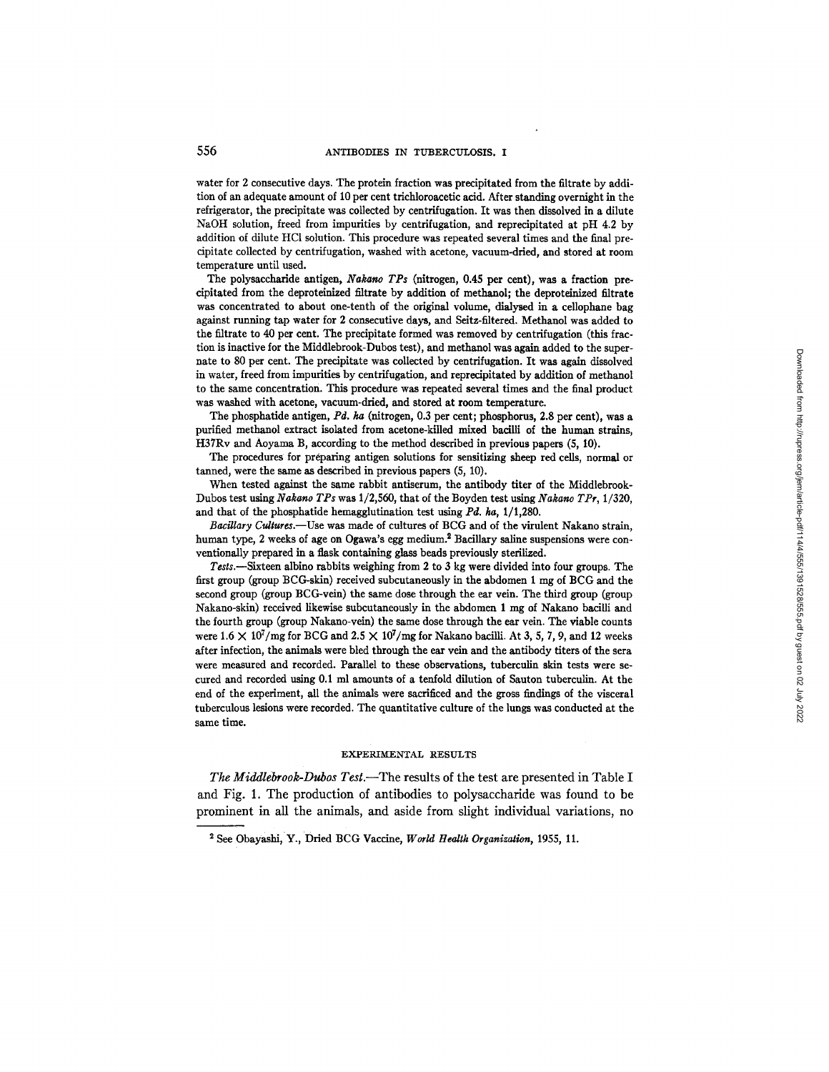water for 2 consecutive days. The protein fraction was precipitated from the filtrate by addition of an adequate amount of 10 per cent trichioroacetic acid. After standing overnight in the refrigerator, the precipitate was collected by centrifugation. It was then dissolved in a dilute NaOH solution, freed from impurities by centrifugation, and reprecipitated at pH 4.2 by addition of dilute HCI solution. This procedure was repeated several times and the final precipitate collected by centrifugation, washed with acetone, vacuum-dried, and stored at room temperature until used.

The polysaccharide antigen, *Nakano TPs* (nitrogen, 0.45 per cent), was a fraction precipitated from the deproteinized filtrate by addition of methanol; the deproteinized filtrate was concentrated to about one-tenth of the original volume, diaiysed in a cellophane bag against running tap water for 2 consecutive days, and Seitz-filtered. Methanol was added to the filtrate to 40 per cent. The precipitate formed was removed by centrifugation (this fraction is inactive for the Middiebrook-Dubos test), and methanol was again added to the supernate to 80 per cent. The precipitate was collected by centrifugation. It was again dissolved in water, freed from impurities by centrifugation, and reprecipitated by addition of methanol to the same concentration. This procedure was repeated several times and the final product was washed with acetone, vacuum-dried, and stored at room temperature.

The phosphatide antigen, *Pd. ha* (nitrogen, 0.3 per cent; phosphorus, 2.8 per cent), was a purified methanol extract isolated from acetone-killed mixed bacilli of the human strains, H37Rv and Aoyama B, according to the method described in previous papers (5, 10).

The procedures for preparing antigen solutions for sensitizing sheep red cells, normal or tanned, were the same as described in previous papers (5, 10).

When tested against the same rabbit antiserum, the antibody titer of the Middlebrook-Dubos test using *Nahano TPs* was 1/2,560, that of the Boyden test using *Nahano TPr,* 1/320, and that of the phosphatide hemagglutination test using *Pd. ha,* 1/1,280.

*Bacillary Cultures.--Use* was made of cultures of BCG and of the virulent Nakano strain, human type, 2 weeks of age on Ogawa's egg medium.<sup>2</sup> Bacillary saline suspensions were conventionally prepared in a flask containing glass beads previously sterilized.

*Tests.--Sixteen* albino rabbits weighing from 2 to 3 kg were divided into four groups. The first group (group BCG-skin) received subcutaneously in the abdomen 1 mg of BCG and the second group (group BCG-vein) the same dose through the ear vein. The third group (group Nakano-skin) received likewise subcutaneously in the abdomen 1 mg of Nakano bacilli and the fourth group (group Nakano-vein) the same dose through the ear vein. The viable counts were 1.6  $\times$  10<sup>7</sup>/mg for BCG and 2.5  $\times$  10<sup>7</sup>/mg for Nakano bacilli. At 3, 5, 7, 9, and 12 weeks after infection, the animals were bled through the ear vein and the antibody titers of the sera were measured and recorded. Parallel to these observations, tuberculin skin tests were secured and recorded using 0.1 ml amounts of a tenfold dilution of Santon tuberculin. At the end of the experiment, all the animals were sacrificed and the gross findings of the visceral tuberculous lesions were recorded. The quantitative culture of the lungs was conducted at the same time.

#### EXPERIMENTAL RESULTS

*The Middlebrook-Dubos Test.--The* results of the test are presented in Table I and Fig. 1. The production of antibodies to polysaccharide was found to be prominent in all the animals, and aside from slight individual variations, no

<sup>2</sup> See Obayashi, Y., Dried BCG Vaccine, *World Health Organization,* 1955, I1.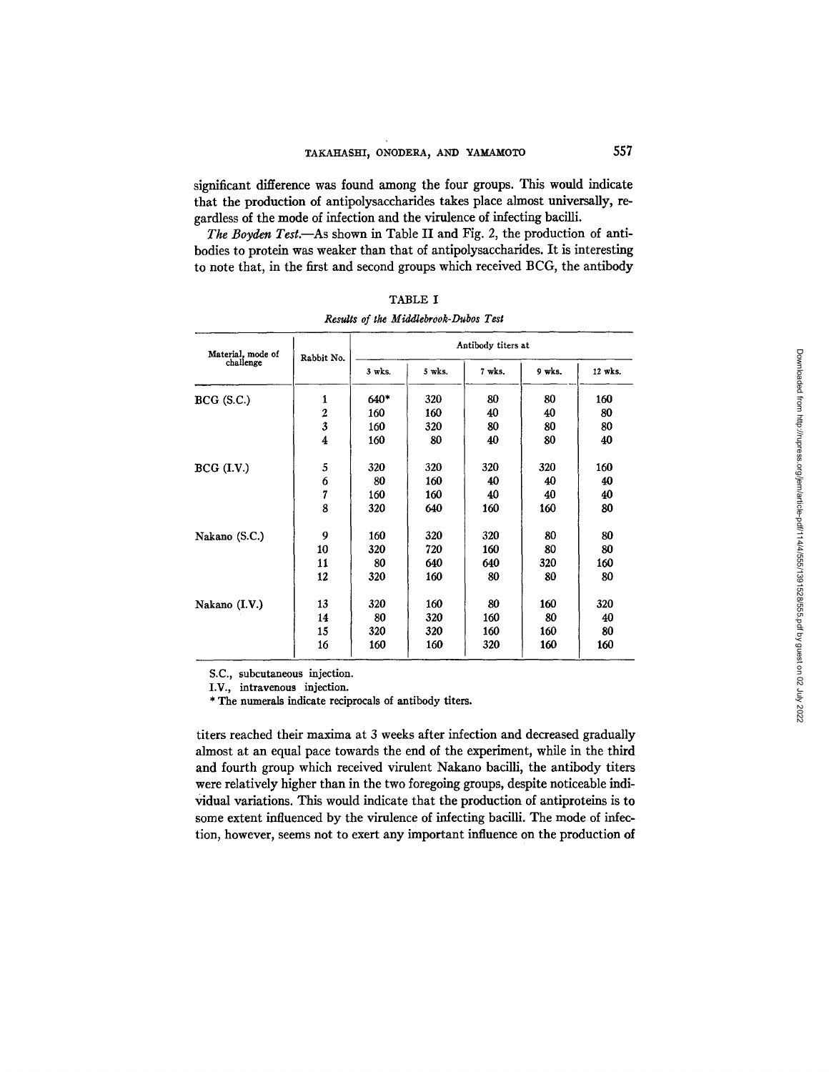significant difference was found among the four groups. This would indicate that the production of antipolysaccharides takes place almost universally, regardless of the mode of infection and the virulence of infecting bacilli.

*The Boyden Test.--As* shown in Table II and Fig. 2, the production of antibodies to protein was weaker than that of antipolysaccharides. It is interesting to note that, in the first and second groups which received BCG, the antibody

| Material, mode of<br>challenge | Rabbit No.              | Antibody titers at |        |        |          |         |  |  |
|--------------------------------|-------------------------|--------------------|--------|--------|----------|---------|--|--|
|                                |                         | $3$ wks.           | 5 wks. | 7 wks. | $9$ wks. | 12 wks. |  |  |
| $BCG$ (S.C.)                   | 1                       | 640*               | 320    | 80     | 80       | 160     |  |  |
|                                | $\boldsymbol{2}$        | 160                | 160    | 40     | 40       | 80      |  |  |
|                                | 3                       | 160                | 320    | 80     | 80       | 80      |  |  |
|                                | $\overline{\mathbf{4}}$ | 160                | 80     | 40     | 80       | 40      |  |  |
| $BCG$ $(I.V.)$                 | 5                       | 320                | 320    | 320    | 320      | 160     |  |  |
|                                | 6                       | 80                 | 160    | 40     | 40       | 40      |  |  |
|                                | 7                       | 160                | 160    | 40     | 40       | 40      |  |  |
|                                | 8                       | 320                | 640    | 160    | 160      | 80      |  |  |
| Nakano (S.C.)                  | 9                       | 160                | 320    | 320    | 80       | 80      |  |  |
|                                | 10                      | 320                | 720    | 160    | 80       | 80      |  |  |
|                                | 11                      | 80                 | 640    | 640    | 320      | 160     |  |  |
|                                | 12                      | 320                | 160    | 80     | 80       | 80      |  |  |
| Nakano (I.V.)                  | 13                      | 320                | 160    | 80     | 160      | 320     |  |  |
|                                | 14                      | 80                 | 320    | 160    | 80       | 40      |  |  |
|                                | 15                      | 320                | 320    | 160    | 160      | 80      |  |  |
|                                | 16                      | 160                | 160    | 320    | 160      | 160     |  |  |

TABLE I *Results of the Middlebrook-Dubos Test* 

S.C., subcutaneous injection.

I.V., intravenous injection.

\* The numerals indicate reciprocals of antibody titers.

titers reached their maxima at 3 weeks after infection and decreased gradually almost at an equal pace towards the end of the experiment, while in the third and fourth group which received virulent Nakano bacilli, the antibody titers were relatively higher than in the two foregoing groups, despite noticeable individual variations. This would indicate that the production of antiproteins is to some extent influenced by the virulence of infecting bacilli. The mode of infection, however, seems not to exert any important influence on the production of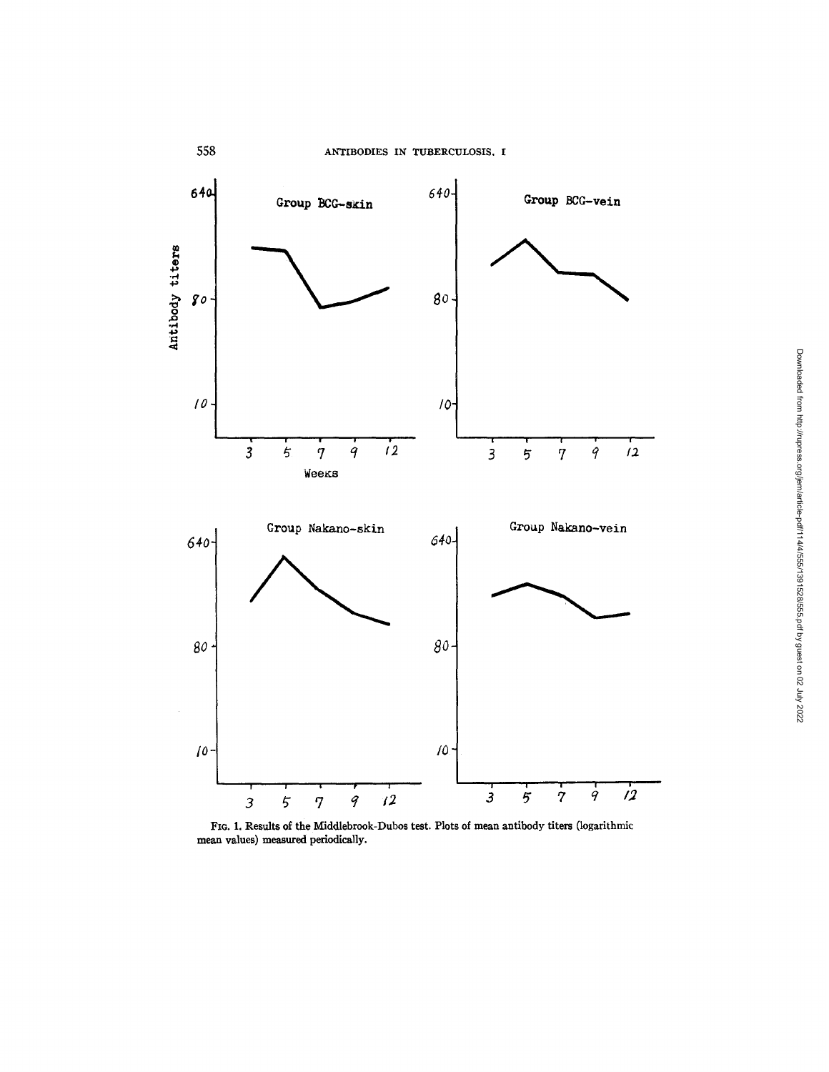

FIG. I. Results of the Middlebrook-Dubos test. Plots of mean antibody titers (logarithmic mean values) measured periodically.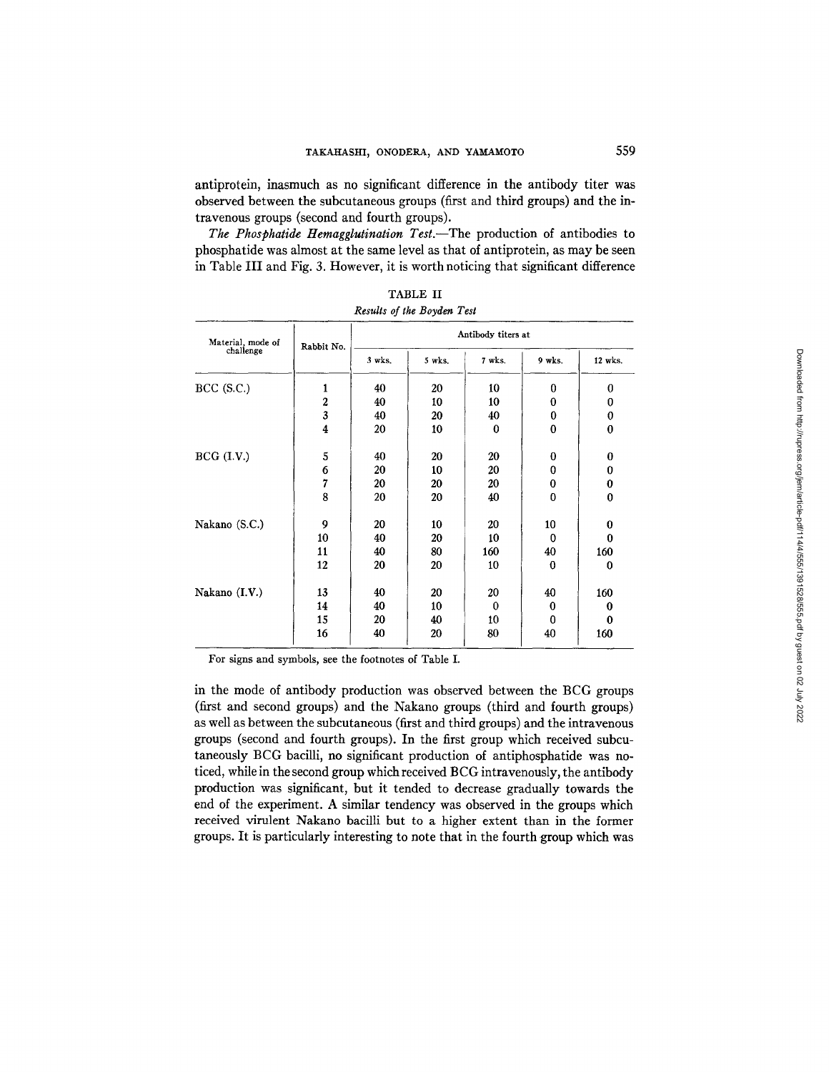antiprotein, inasmuch as no significant difference in the antibody titer was observed between the subcutaneous groups (first and third groups) and the intravenous groups (second and fourth groups).

*The Phosphatide Hemagglutination Test.--The* production of antibodies to phosphatide was almost at the same level as that of antiprotein, as may be seen in Table III and Fig. 3. However, it is worth noticing that significant difference

| Material, mode of<br>challenge | Rabbit No.              | Antibody titers at |        |          |          |          |  |  |
|--------------------------------|-------------------------|--------------------|--------|----------|----------|----------|--|--|
|                                |                         | 3 wks.             | 5 wks. | 7 wks.   | 9 wks.   | 12 wks.  |  |  |
| $BCC$ (S.C.)                   | 1                       | 40                 | 20     | 10       | $\bf{0}$ | 0        |  |  |
|                                |                         | 40                 | 10     | 10       | $\bf{0}$ | 0        |  |  |
|                                | $\frac{2}{3}$           | 40                 | 20     | 40       | $\bf{0}$ | 0        |  |  |
|                                | $\overline{\mathbf{4}}$ | 20                 | 10     | $\bf{0}$ | $\bf{0}$ | $\bf{0}$ |  |  |
| $BCG$ (I.V.)                   | 5                       | 40                 | 20     | 20       | $\bf{0}$ | $\bf{0}$ |  |  |
|                                | 6                       | 20                 | 10     | 20       | $\bf{0}$ | 0        |  |  |
|                                | $\overline{7}$          | 20                 | 20     | 20       | $\bf{0}$ | 0        |  |  |
|                                | 8                       | 20                 | 20     | 40       | $\bf{0}$ | $\bf{0}$ |  |  |
| Nakano (S.C.)                  | 9                       | 20                 | 10     | 20       | 10       | $\bf{0}$ |  |  |
|                                | 10                      | 40                 | 20     | 10       | $\Omega$ | $\bf{0}$ |  |  |
|                                | 11                      | 40                 | 80     | 160      | 40       | 160      |  |  |
|                                | 12                      | 20                 | 20     | 10       | $\bf{0}$ | 0        |  |  |
| Nakano (I.V.)                  | 13                      | 40                 | 20     | 20       | 40       | 160      |  |  |
|                                | 14                      | 40                 | 10     | $\Omega$ | 0        | 0        |  |  |
|                                | 15                      | 20                 | 40     | 10       | $\bf{0}$ | 0        |  |  |
|                                | 16                      | 40                 | 20     | 80       | 40       | 160      |  |  |

TABLE II *Results of the Boyden Test* 

For signs and symbols, see the footnotes of Table I.

in the mode of antibody production was observed between the BCG groups (first and second groups) and the Nakano groups (third and fourth groups) as well as between the subcutaneous (first and third groups) and the intravenous groups (second and fourth groups). In the first group which received subcutaneously BCG bacilli, no significant production of antiphosphatide was noticed, while in the second group which received BCG intravenously, the antibody production was significant, but it tended to decrease gradually towards the end of the experiment. A similar tendency was observed in the groups which received virulent Nakano bacilli but to a higher extent than in the former groups. It is particularly interesting to note that in the fourth group which was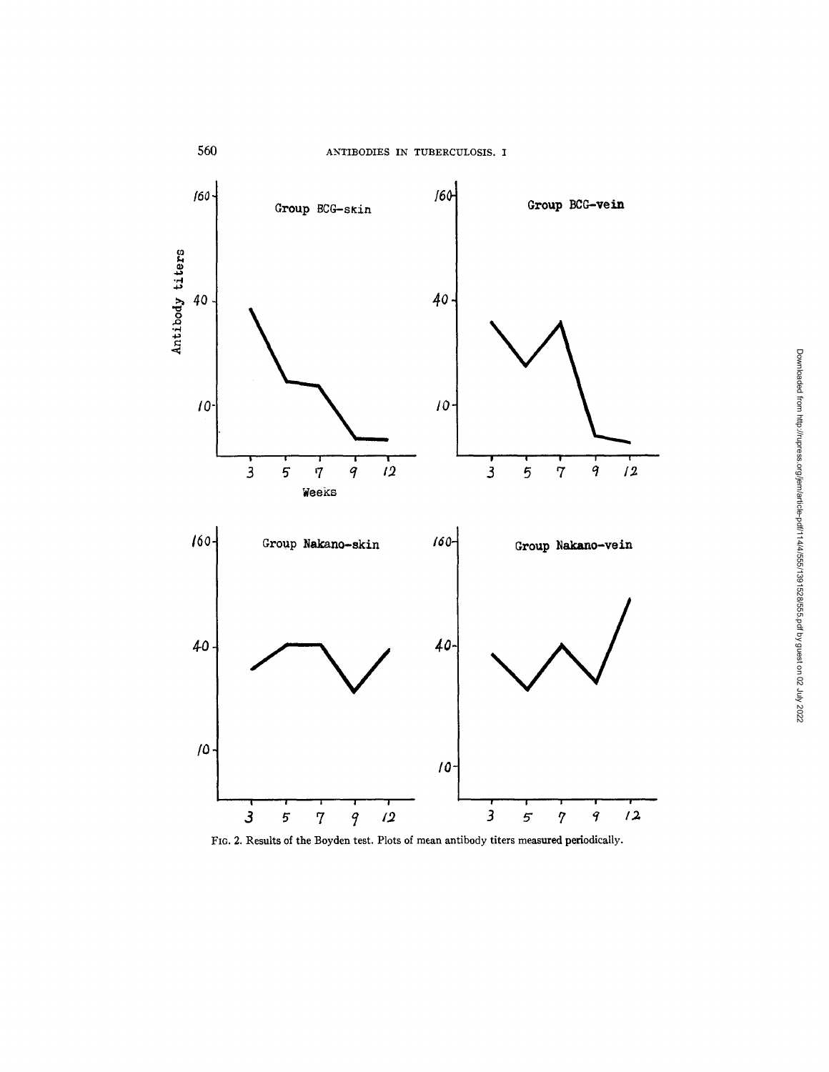

FIG. 2. Results of the Boyden test. Plots of mean antibody titers measured periodically.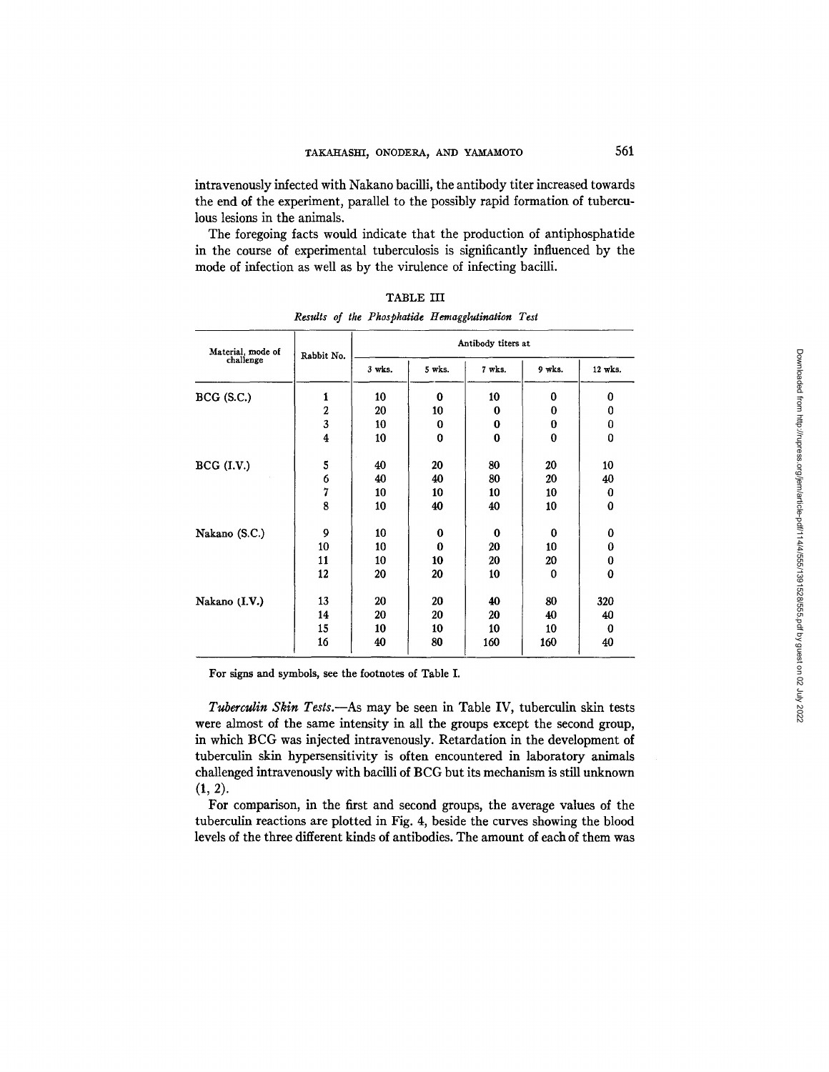intravenously infected with Nakano bacilli, the antibody titer increased towards the end of the experiment, parallel to the possibly rapid formation of tuberculous lesions in the animals.

The foregoing facts would indicate that the production of antiphosphatide in the course of experimental tuberculosis is significantly influenced by the mode of infection as well as by the virulence of infecting bacilli.

| Material, mode of<br>challenge | Rabbit No.              | Antibody titers at |          |          |          |          |  |  |
|--------------------------------|-------------------------|--------------------|----------|----------|----------|----------|--|--|
|                                |                         | 3 wks.             | $5$ wks. | 7 wks.   | 9 wks.   | 12 wks.  |  |  |
| $BCG$ (S.C.)                   | $\mathbf{1}$            | 10                 | $\bf{0}$ | 10       | 0        | 0        |  |  |
|                                | $\bf{2}$                | 20                 | 10       | $\bf{0}$ | $\bf{0}$ | 0        |  |  |
|                                | 3                       | 10                 | 0        | $\bf{0}$ | $\bf{0}$ | 0        |  |  |
|                                | $\overline{\mathbf{4}}$ | 10                 | 0        | $\bf{0}$ | $\bf{0}$ | 0        |  |  |
| $BCG$ (I.V.)                   | 5                       | 40                 | 20       | 80       | 20       | 10       |  |  |
|                                | 6                       | 40                 | 40       | 80       | 20       | 40       |  |  |
|                                | $\overline{7}$          | 10                 | 10       | 10       | 10       | 0        |  |  |
|                                | 8                       | 10                 | 40       | 40       | 10       | $\bf{0}$ |  |  |
| Nakano (S.C.)                  | 9                       | 10                 | 0        | $\Omega$ | $\bf{0}$ | 0        |  |  |
|                                | 10                      | 10                 | $\bf{0}$ | 20       | 10       | $\bf{0}$ |  |  |
|                                | 11                      | 10                 | 10       | 20       | 20       | 0        |  |  |
|                                | 12                      | 20                 | 20       | 10       | $\bf{0}$ | $\bf{0}$ |  |  |
| Nakano (I.V.)                  | 13                      | 20                 | 20       | 40       | 80       | 320      |  |  |
|                                | 14                      | 20                 | 20       | 20       | 40       | 40       |  |  |
|                                | 15                      | 10                 | 10       | 10       | 10       | 0        |  |  |
|                                | 16                      | 40                 | 80       | 160      | 160      | 40       |  |  |

TABLE III *Results of the Phosphatide ttemagghaination Test* 

For signs and symbols, see the footnotes of Table I.

*Tuberculin Skin Tests.--As* may be seen in Table IV, tuberculin skin tests were almost of the same intensity in all the groups except the second group, in which BCG was injected intravenously. Retardation in the development of tuberculin skin hypersensitivity is often encountered in laboratory animals challenged intravenously with bacilli of BCG but its mechanism is still unknown (1, 2).

For comparison, in the first and second groups, the average values of the tuberculin reactions are plotted in Fig. 4, beside the curves showing the blood levels of the three different kinds of antibodies. The amount of each of them was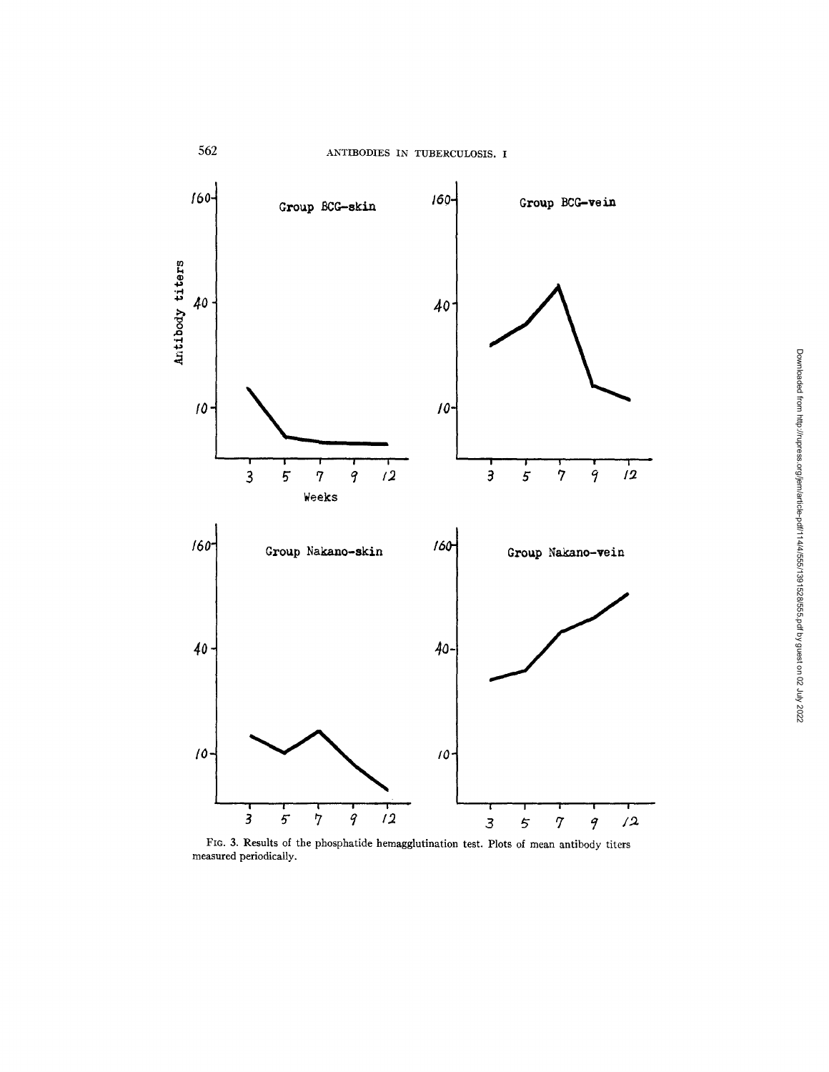

FIC. 3. Results of the phosphatide hemagglutination test. Plots of mean antibody titers measured periodically.

# 562 ANTIBODIES IN TUBERCULOSIS. I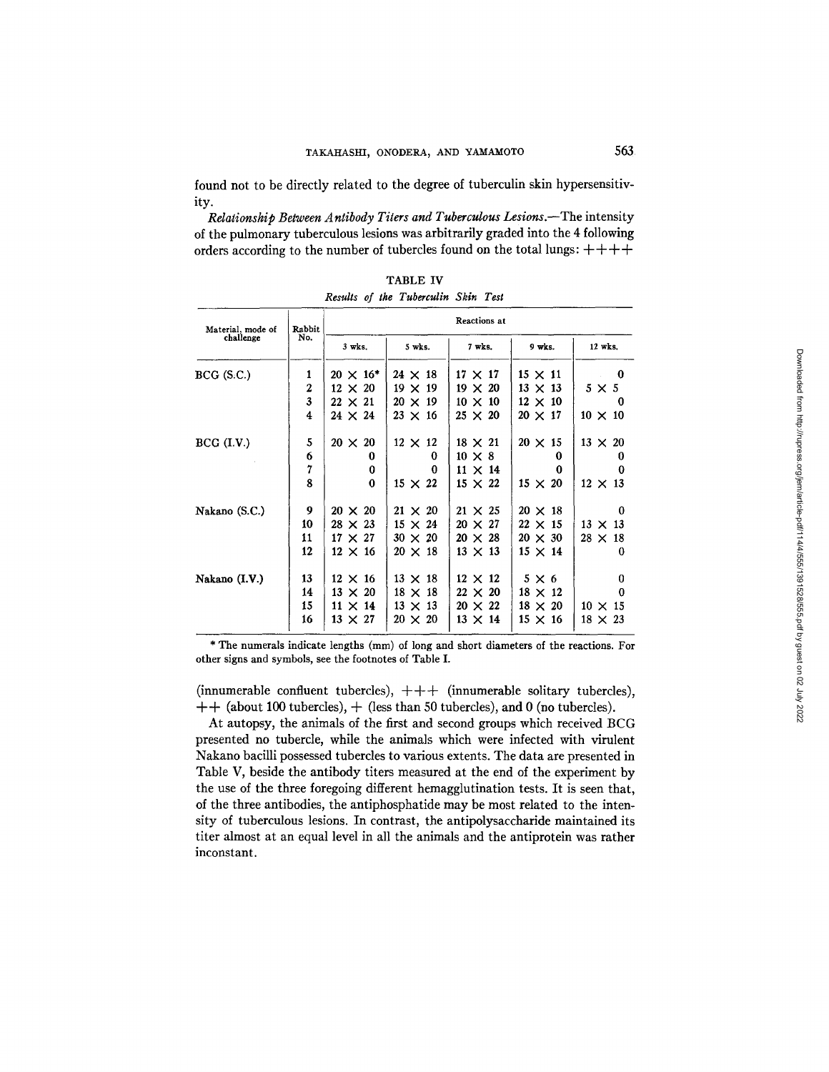found not to be directly related to the degree of tuberculin skin hypersensitivity.

*Relationship Between Antibody Titers and Tuberculous Lesions.*—The intensity of the pulmonary tuberculous lesions was arbitrarily graded into the 4 following orders according to the number of tubercles found on the total lungs:  $++++$ 

| Material, mode of<br>challenge | Rabbit           | <b>Reactions</b> at |                |                |                |                |  |  |  |
|--------------------------------|------------------|---------------------|----------------|----------------|----------------|----------------|--|--|--|
|                                | No.              | $3$ wks.            | 5 wks.         | 7 wks.         | 9 wks.         | 12 wks.        |  |  |  |
| BCG(S.C.)                      | 1                | $20 \times 16^*$    | $24 \times 18$ | $17 \times 17$ | $15 \times 11$ | $\bf{0}$       |  |  |  |
|                                | $\boldsymbol{2}$ | $12 \times 20$      | $19 \times 19$ | $19 \times 20$ | $13 \times 13$ | $5 \times 5$   |  |  |  |
|                                | $\mathbf{3}$     | $22 \times 21$      | $20 \times 19$ | $10 \times 10$ | $12 \times 10$ | 0              |  |  |  |
|                                | 4                | $24 \times 24$      | $23 \times 16$ | $25 \times 20$ | $20 \times 17$ | $10 \times 10$ |  |  |  |
| $BCG$ (I.V.)                   | 5                | $20 \times 20$      | $12 \times 12$ | $18 \times 21$ | $20 \times 15$ | $13 \times 20$ |  |  |  |
|                                | 6                | 0                   | 0              | $10 \times 8$  | 0              | 0              |  |  |  |
|                                | $\boldsymbol{7}$ | 0                   | $\bf{0}$       | $11 \times 14$ | 0              | $\bf{0}$       |  |  |  |
|                                | 8                | $\mathbf 0$         | $15 \times 22$ | $15 \times 22$ | $15 \times 20$ | $12 \times 13$ |  |  |  |
| Nakano (S.C.)                  | 9                | $20 \times 20$      | $21 \times 20$ | $21 \times 25$ | $20 \times 18$ | 0              |  |  |  |
|                                | 10               | $28 \times 23$      | $15 \times 24$ | $20 \times 27$ | $22 \times 15$ | $13 \times 13$ |  |  |  |
|                                | 11               | $17 \times 27$      | $30 \times 20$ | $20 \times 28$ | $20 \times 30$ | $28 \times 18$ |  |  |  |
|                                | 12               | $12 \times 16$      | $20 \times 18$ | $13 \times 13$ | $15 \times 14$ | 0              |  |  |  |
| Nakano (I.V.)                  | 13               | $12 \times 16$      | $13 \times 18$ | $12 \times 12$ | $5 \times 6$   | 0              |  |  |  |
|                                | 14               | $13 \times 20$      | $18 \times 18$ | $22 \times 20$ | $18 \times 12$ | $\bf{0}$       |  |  |  |
|                                | 15               | $11 \times 14$      | $13 \times 13$ | $20 \times 22$ | $18 \times 20$ | $10 \times 15$ |  |  |  |
|                                | 16               | $13 \times 27$      | $20 \times 20$ | $13 \times 14$ | $15 \times 16$ | $18 \times 23$ |  |  |  |

TABLE IV *Results of the Tuberculin Skin Test* 

\* The numerals indicate lengths (mm) of long and short diameters of the reactions. For other signs and symbols, see the footnotes of Table I.

(innumerable confluent tubercles),  $++$  (innumerable solitary tubercles),  $++$  (about 100 tubercles),  $+$  (less than 50 tubercles), and 0 (no tubercles).

At autopsy, the animals of the first and second groups which received BCG presented no tubercle, while the animals which were infected with virulent Nakano bacilli possessed tubercles to various extents. The data are presented in Table V, beside the antibody titers measured at the end of the experiment by the use of the three foregoing different hemagglutination tests. It is seen that, of the three antibodies, the antiphosphatide may be most related to the intensity of tuberculous lesions. In contrast, the antipolysaccharide maintained its titer almost at an equal level in all the animals and the antiprotein was rather inconstant.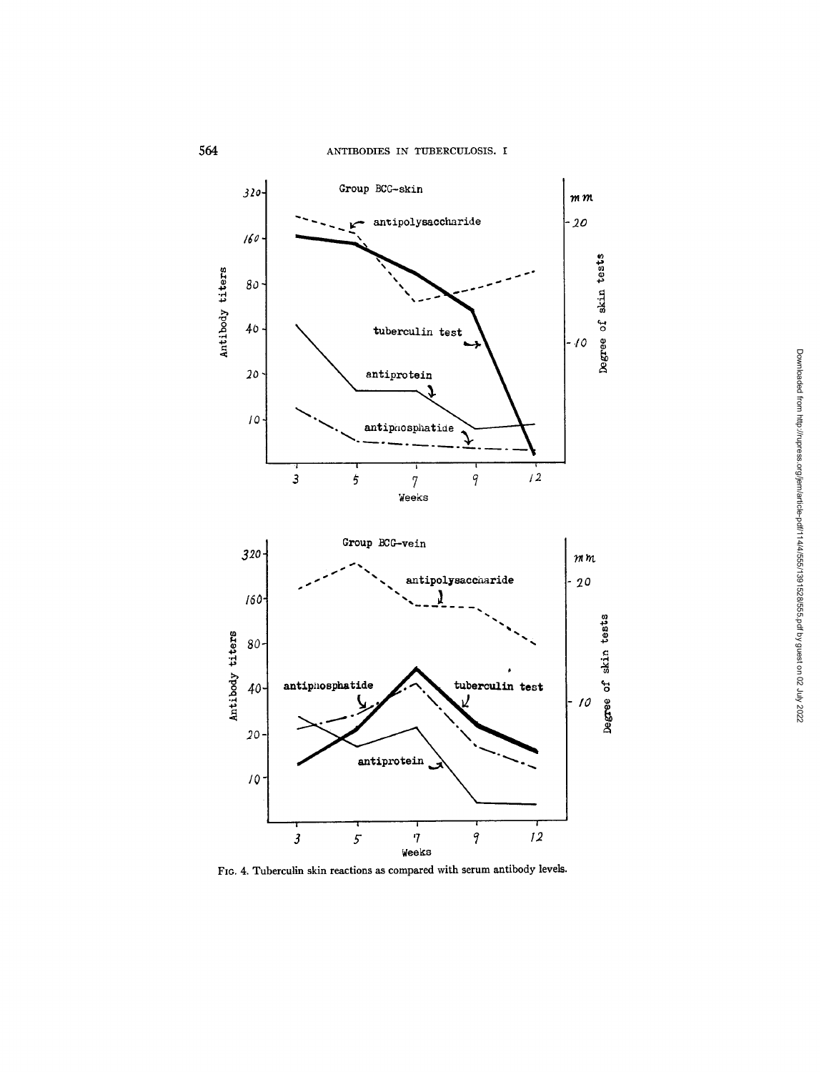

**FIe. 4. Tuberculin skin reactions as compared with serum antibody levels.**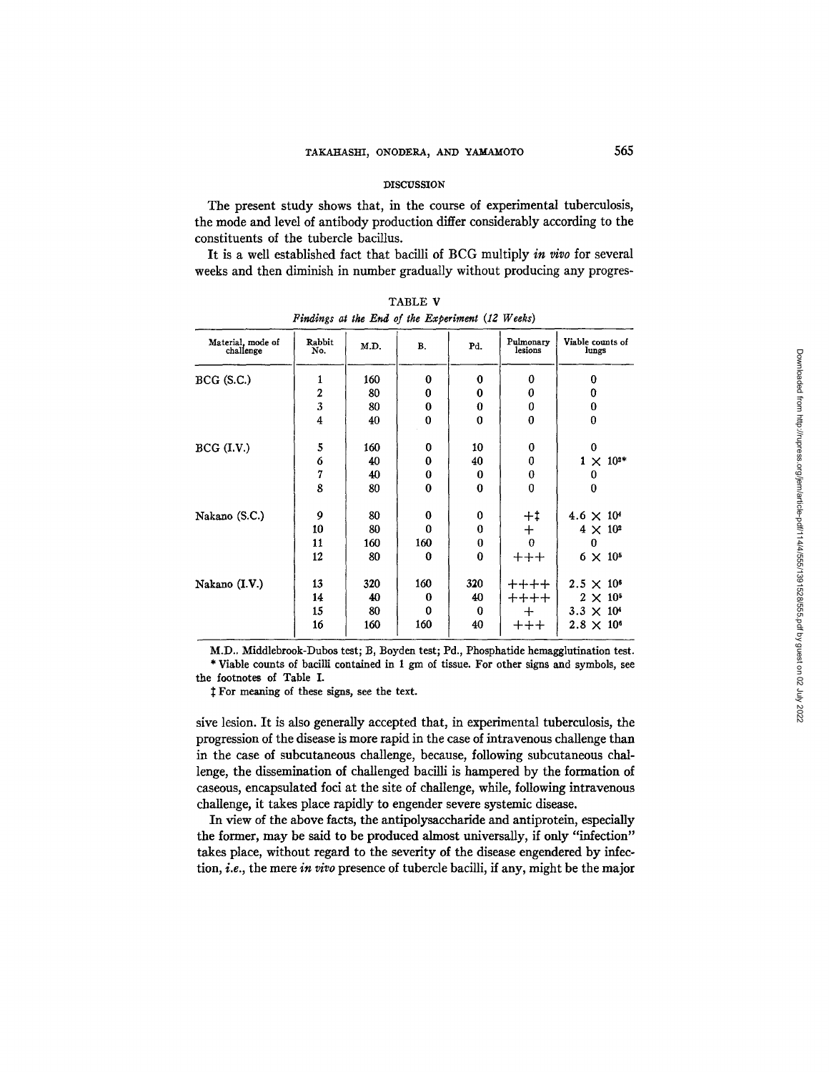### DISCUSSION

The present study shows that, in the course of experimental tuberculosis, the mode and level of antibody production differ considerably according to the constituents of the tubercle bacillus.

It is a well established fact that bacilli of BCG multiply *in vivo* for several weeks and then diminish in number gradually without producing any progres-

| Material, mode of<br>challenge | Rabbit<br>No.           | M.D. | В.          | Pd.         | Pulmonary<br>lesions | Viable counts of<br>lungs |
|--------------------------------|-------------------------|------|-------------|-------------|----------------------|---------------------------|
| $BCG$ (S.C.)                   | 1                       | 160  | $\bf{0}$    | $\bf{0}$    | 0                    | 0                         |
|                                | 2                       | 80   | 0           | $\bf{0}$    | 0                    | 0                         |
|                                | $\overline{\mathbf{3}}$ | 80   | $\bf{0}$    | 0           | 0                    | 0                         |
|                                | 4                       | 40   | $\bf{0}$    | $\bf{0}$    | $\boldsymbol{0}$     | $\bf{0}$                  |
| $BCG$ (I.V.)                   | 5                       | 160  | 0           | 10          | $\bf{0}$             | $\Omega$                  |
|                                | 6                       | 40   | $\bf{0}$    | 40          | $\Omega$             | $1~\times~10^{2*}$        |
|                                | $\overline{7}$          | 40   | $\bf{0}$    | 0           | 0                    | 0                         |
|                                | 8                       | 80   | $\bf{0}$    | $\bf{0}$    | $\mathbf 0$          | 0                         |
| Nakano (S.C.)                  | 9                       | 80   | $\Omega$    | $\mathbf 0$ | $+1$                 | $4.6 \times 10^{4}$       |
|                                | 10                      | 80   | $\mathbf 0$ | $\bf{0}$    | $+$                  | $4 \times 10^2$           |
|                                | 11                      | 160  | 160         | 0           | 0                    | 0                         |
|                                | 12                      | 80   | $\bf{0}$    | $\bf{0}$    | $++++$               | $6\,\times\,10^{\rm s}$   |
| Nakano (I.V.)                  | 13                      | 320  | 160         | 320         | $+ + + +$            | $2.5 \times 10^{6}$       |
|                                | 14                      | 40   | 0           | 40          | $+++++$              | $2 \times 10^5$           |
|                                | 15                      | 80   | $\Omega$    | 0           | $\div$               | $3.3 \times 10^{4}$       |
|                                | 16                      | 160  | 160         | 40          | $++++$               | $2.8 \times 10^{6}$       |

TABLE V *Findings at the End of the Experiment (12 Weeks)* 

M.D., Middlebrook-Dubos test; B, Boyden test; Pd., Phosphafide hemagglufination test. \* Viable counts of bacilli contained in 1 gm of tissue. For other signs and symbols, see the footnotes of Table I.

 $#$  For meaning of these signs, see the text.

sire lesion. It is also generally accepted that, in experimental tuberculosis, the progression of the disease is more rapid in the case of intravenous challenge than in the case of subcutaneous challenge, because, following subcutaneous challenge, the dissemination of challenged bacilli is hampered by the formation of caseous, encapsulated foci at the site of challenge, while, following intravenous challenge, it takes place rapidly to engender severe systemic disease.

In view of the above facts, the antipolysaccharide and antiprotein, especially the former, may be said to be produced almost universally, if only *"infection"*  takes place, without regard to the severity of the disease engendered by infection, *i.e.*, the mere *in vivo* presence of tubercle bacilli, if any, might be the major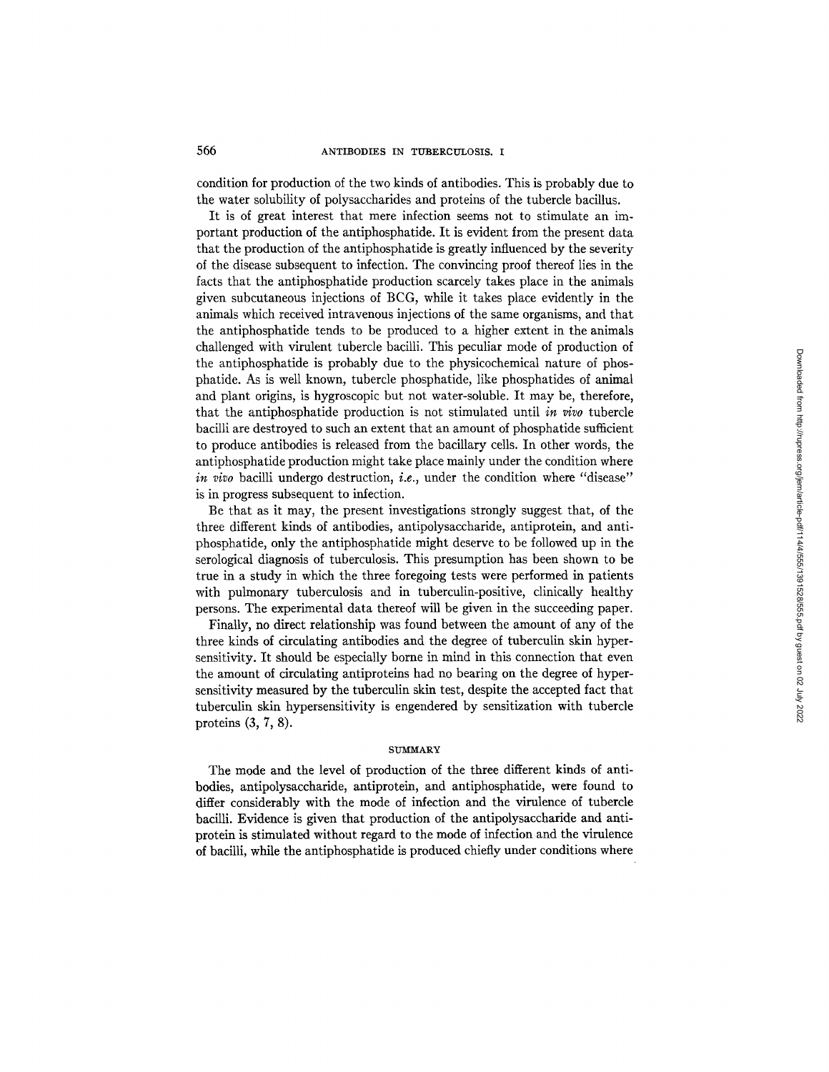condition for production of the two kinds of antibodies. This is probably due to the water solubility of polysaccharides and proteins of the tubercle bacillus.

It is of great interest that mere infection seems not to stimulate an important production of the antiphosphatide. It is evident from the present data that the production of the antiphosphatide is greatly influenced by the severity of the disease subsequent to infection. The convincing proof thereof lies in the facts that the antiphosphatide production scarcely takes place in the animals given subcutaneous injections of BCG, while it takes place evidently in the animals which received intravenous injections of the same organisms, and that the antiphosphatide tends to be produced to a higher extent in the animals challenged with virulent tubercle bacilli. This peculiar mode of production of the antiphosphatide is probably due to the physicochemical nature of phosphatide. As is well known, tubercle phosphatide, like phosphatides of animal and plant origins, is hygroscopic but not water-soluble. It may be, therefore, that the antiphosphatide production is not stimulated until *in vivo* tubercle bacilli are destroyed to such an extent that an amount of phosphatide sufficient to produce antibodies is released from the bacillary cells. In other words, the antiphosphatide production might take place mainly under the condition where *in vivo* bacilli undergo destruction, *i.e.,* under the condition where "disease" is in progress subsequent to infection.

Be that as it may, the present investigations strongly suggest that, of the three different kinds of antibodies, antipolysaccharide, antiprotein, and antiphosphatide, only the antiphosphatide might deserve to be followed up in the serological diagnosis of tuberculosis. This presumption has been shown to be true in a study in which the three foregoing tests were performed in patients with pulmonary tuberculosis and in tuberculin-positive, clinically healthy persons. The experimental data thereof will be given in the succeeding paper.

Finally, no direct relationship was found between the amount of any of the three kinds of circulating antibodies and the degree of tuberculin skin hypersensitivity. It should be especially borne in mind in this connection that even the amount of circulating antiproteins had no bearing on the degree of hypersensitivity measured by the tuberculin skin test, despite the accepted fact that tuberculin skin hypersensitivity is engendered by sensitization with tubercle proteins (3, 7, 8).

#### **SUMMARY**

The mode and the level of production of the three different kinds of antibodies, antipolysaccharide, antiprotein, and antiphosphatide, were found to differ considerably with the mode of infection and the virulence of tubercle bacilli. Evidence is given that production of the antipolysaccharide and antiprotein is stimulated without regard to the mode of infection and the virulence of bacilli, while the antiphosphatide is produced chiefly under conditions where